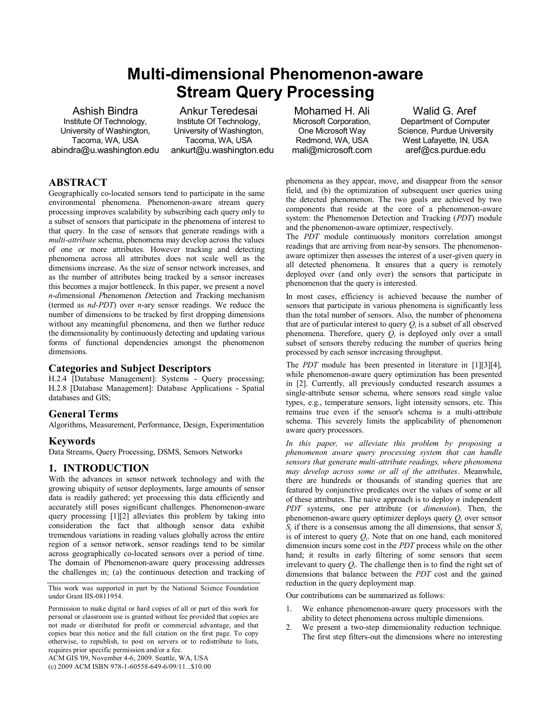# **Multi-dimensional Phenomenon-aware Stream Query Processing**

Ashish Bindra Institute Of Technology, University of Washington, Tacoma, WA, USA abindra@u.washington.edu

Ankur Teredesai Institute Of Technology, University of Washington, Tacoma, WA, USA ankurt@u.washington.edu

Mohamed H. Ali Microsoft Corporation, One Microsoft Way Redmond, WA, USA mali@microsoft.com

Walid G. Aref Department of Computer Science, Purdue University West Lafayette, IN, USA aref@cs.purdue.edu

# **ABSTRACT**

Geographically co-located sensors tend to participate in the same environmental phenomena. Phenomenon-aware stream query processing improves scalability by subscribing each query only to a subset of sensors that participate in the phenomena of interest to that query. In the case of sensors that generate readings with a *multi-attribute* schema, phenomena may develop across the values of one or more attributes. However tracking and detecting phenomena across all attributes does not scale well as the dimensions increase. As the size of sensor network increases, and as the number of attributes being tracked by a sensor increases this becomes a major bottleneck. In this paper, we present a novel *n*-*d*imensional *P*henomenon *D*etection and *T*racking mechanism (termed as *nd-PDT*) over *n*-ary sensor readings. We reduce the number of dimensions to be tracked by first dropping dimensions without any meaningful phenomena, and then we further reduce the dimensionality by continuously detecting and updating various forms of functional dependencies amongst the phenomenon dimensions.

## **Categories and Subject Descriptors**

H.2.4 [Database Management]: Systems - Query processing; H.2.8 [Database Management]: Database Applications - Spatial databases and GIS;

## **General Terms**

Algorithms, Measurement, Performance, Design, Experimentation

## **Keywords**

Data Streams, Query Processing, DSMS, Sensors Networks

# **1. INTRODUCTION**

With the advances in sensor network technology and with the growing ubiquity of sensor deployments, large amounts of sensor data is readily gathered; yet processing this data efficiently and accurately still poses significant challenges. Phenomenon-aware query processing [1][2] alleviates this problem by taking into consideration the fact that although sensor data exhibit tremendous variations in reading values globally across the entire region of a sensor network, sensor readings tend to be similar across geographically co-located sensors over a period of time. The domain of Phenomenon-aware query processing addresses the challenges in; (a) the continuous detection and tracking of

This work was supported in part by the National Science Foundation under Grant IIS-0811954.

phenomena as they appear, move, and disappear from the sensor field, and (b) the optimization of subsequent user queries using the detected phenomenon. The two goals are achieved by two components that reside at the core of a phenomenon-aware system: the Phenomenon Detection and Tracking (*PDT*) module and the phenomenon-aware optimizer, respectively.

The *PDT* module continuously monitors correlation amongst readings that are arriving from near-by sensors. The phenomenonaware optimizer then assesses the interest of a user-given query in all detected phenomena. It ensures that a query is remotely deployed over (and only over) the sensors that participate in phenomenon that the query is interested.

In most cases, efficiency is achieved because the number of sensors that participate in various phenomena is significantly less than the total number of sensors. Also, the number of phenomena that are of particular interest to query  $Q_i$  is a subset of all observed phenomena. Therefore, query  $Q_i$  is deployed only over a small subset of sensors thereby reducing the number of queries being processed by each sensor increasing throughput.

The *PDT* module has been presented in literature in [\[1\]\[3\]](#page-3-0)[\[4\],](#page-3-1)  while phenomenon-aware query optimization has been presented in [\[2\].](#page-3-2) Currently, all previously conducted research assumes a single-attribute sensor schema, where sensors read single value types, e.g., temperature sensors, light intensity sensors, etc. This remains true even if the sensor's schema is a multi-attribute schema. This severely limits the applicability of phenomenon aware query processors.

*In this paper, we alleviate this problem by proposing a phenomenon aware query processing system that can handle sensors that generate multi-attribute readings, where phenomena may develop across some or all of the attributes*. Meanwhile, there are hundreds or thousands of standing queries that are featured by conjunctive predicates over the values of some or all of these attributes. The naive approach is to deploy *n* independent *PDT* systems, one per attribute (or *dimension*). Then, the phenomenon-aware query optimizer deploys query *Q<sup>i</sup>* over sensor  $S_i$  if there is a consensus among the all dimensions, that sensor  $S_j$ is of interest to query  $Q_i$ . Note that on one hand, each monitored dimension incurs some cost in the *PDT* process while on the other hand; it results in early filtering of some sensors that seem irrelevant to query  $Q_i$ . The challenge then is to find the right set of dimensions that balance between the *PDT* cost and the gained reduction in the query deployment map.

Our contributions can be summarized as follows:

- 1. We enhance phenomenon-aware query processors with the ability to detect phenomena across multiple dimensions.
- 2. We present a two-step dimensionality reduction technique. The first step filters-out the dimensions where no interesting

Permission to make digital or hard copies of all or part of this work for personal or classroom use is granted without fee provided that copies are not made or distributed for profit or commercial advantage, and that copies bear this notice and the full citation on the first page. To copy otherwise, to republish, to post on servers or to redistribute to lists, requires prior specific permission and/or a fee.

ACM GIS '09, November 4-6, 2009. Seattle, WA, USA

<sup>(</sup>c) 2009 ACM ISBN 978-1-60558-649-6/09/11...\$10.00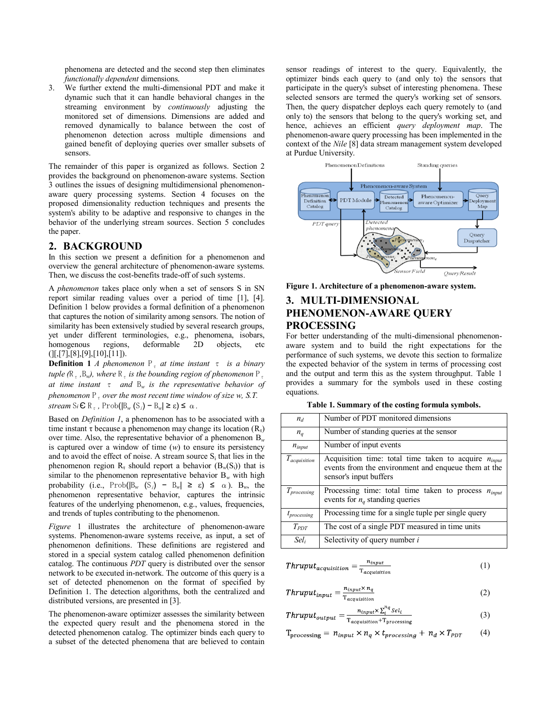phenomena are detected and the second step then eliminates *functionally dependent* dimensions.

3. We further extend the multi-dimensional PDT and make it dynamic such that it can handle behavioral changes in the streaming environment by *continuously* adjusting the monitored set of dimensions. Dimensions are added and removed dynamically to balance between the cost of phenomenon detection across multiple dimensions and gained benefit of deploying queries over smaller subsets of sensors.

The remainder of this paper is organized as follows. Section 2 provides the background on phenomenon-aware systems. Section 3 outlines the issues of designing multidimensional phenomenonaware query processing systems. Section 4 focuses on the proposed dimensionality reduction techniques and presents the system's ability to be adaptive and responsive to changes in the behavior of the underlying stream sources. Section 5 concludes the paper.

#### **2. BACKGROUND**

In this section we present a definition for a phenomenon and overview the general architecture of phenomenon-aware systems. Then, we discuss the cost-benefits trade-off of such systems.

A *phenomenon* takes place only when a set of sensors S in SN report similar reading values over a period of time [\[1\],](#page-3-0) [\[4\].](#page-3-1) Definition 1 below provides a formal definition of a phenomenon that captures the notion of similarity among sensors. The notion of similarity has been extensively studied by several research groups, yet under different terminologies, e.g., phenomena, isobars, homogenous regions, deformable 2D objects, etc  $([1, [7], [8], [9], [10], [11]).$  $([1, [7], [8], [9], [10], [11]).$  $([1, [7], [8], [9], [10], [11]).$  $([1, [7], [8], [9], [10], [11]).$  $([1, [7], [8], [9], [10], [11]).$  $([1, [7], [8], [9], [10], [11]).$  $([1, [7], [8], [9], [10], [11]).$ 

**Definition 1** *A* phenomenon  $P_t$  at time instant  $\tau$  is a binary *tuple* ( $R_{\tau}$ ,  $B_{w}$ ), where  $R_{\tau}$  *is the bounding region of phenomenon*  $P_{\tau}$ *at time instant* τ *and* B*<sup>w</sup> is the representative behavior of phenomenon*  $P_7$  *over the most recent time window of size w, S.T.*  $stream \, S_i \, \mathbf{C} \, R_{\tau}$ ,  $Prob([B_w (S_i) - B_w] \geq \varepsilon) \leq \alpha$ .

Based on *Definition 1*, a phenomenon has to be associated with a time instant  $\tau$  because a phenomenon may change its location  $(R_{\tau})$ over time. Also, the representative behavior of a phenomenon  $B_w$ is captured over a window of time (*w*) to ensure its persistency and to avoid the effect of noise. A stream source  $S_i$  that lies in the phenomenon region  $R_t$  should report a behavior  $(B_w(S_i))$  that is similar to the phenomenon representative behavior  $B_w$  with high probability (i.e., Prob( $|B_w (S_i) - B_w| \ge \varepsilon$ )  $\le \alpha$ ).  $B_w$ , the phenomenon representative behavior, captures the intrinsic features of the underlying phenomenon, e.g., values, frequencies, and trends of tuples contributing to the phenomenon.

*[Figure](#page-1-0)* 1 illustrates the architecture of phenomenon-aware systems. Phenomenon-aware systems receive, as input, a set of phenomenon definitions. These definitions are registered and stored in a special system catalog called phenomenon definition catalog. The continuous *PDT* query is distributed over the sensor network to be executed in-network. The outcome of this query is a set of detected phenomenon on the format of specified by Definition 1. The detection algorithms, both the centralized and distributed versions, are presented i[n \[3\].](#page-3-8)

The phenomenon-aware optimizer assesses the similarity between the expected query result and the phenomena stored in the detected phenomenon catalog. The optimizer binds each query to a subset of the detected phenomena that are believed to contain

sensor readings of interest to the query. Equivalently, the optimizer binds each query to (and only to) the sensors that participate in the query's subset of interesting phenomena. These selected sensors are termed the query's working set of sensors. Then, the query dispatcher deploys each query remotely to (and only to) the sensors that belong to the query's working set, and hence, achieves an efficient *query deployment map*. The phenomenon-aware query processing has been implemented in the context of the *Nile* [\[8\]](#page-3-4) data stream management system developed at Purdue University.



<span id="page-1-0"></span>**Figure 1. Architecture of a phenomenon-aware system.**

# **3. MULTI-DIMENSIONAL PHENOMENON-AWARE QUERY PROCESSING**

For better understanding of the multi-dimensional phenomenonaware system and to build the right expectations for the performance of such systems, we devote this section to formalize the expected behavior of the system in terms of processing cost and the output and term this as the system throughput. [Table 1](#page-1-1) provides a summary for the symbols used in these costing equations.

|  | Table 1. Summary of the costing formula symbols. |  |  |  |
|--|--------------------------------------------------|--|--|--|
|  |                                                  |  |  |  |

<span id="page-1-1"></span>

| $n_d$            | Number of PDT monitored dimensions                                                                                                         |  |  |
|------------------|--------------------------------------------------------------------------------------------------------------------------------------------|--|--|
| $n_q$            | Number of standing queries at the sensor                                                                                                   |  |  |
| $n_{input}$      | Number of input events                                                                                                                     |  |  |
| $T_{acquistion}$ | Acquisition time: total time taken to acquire $n_{input}$<br>events from the environment and enqueue them at the<br>sensor's input buffers |  |  |
| $T_{processing}$ | Processing time: total time taken to process $n_{input}$<br>events for $n_q$ standing queries                                              |  |  |
| $t_{processing}$ | Processing time for a single tuple per single query                                                                                        |  |  |
| $T_{PDT}$        | The cost of a single PDT measured in time units                                                                                            |  |  |
| Sel <sub>i</sub> | Selectivity of query number i                                                                                                              |  |  |

$$
Thrupt_{acquisition} = \frac{n_{input}}{T_{acquisition}}
$$
 (1)

$$
Thrupt_{input} = \frac{n_{input} \times n_q}{T_{acquistition}} \tag{2}
$$

$$
Thrupt_{output} = \frac{n_{input} \times \sum_{i}^{n_{self}} Sel_i}{T_{acquistition} + T_{processing}}
$$
(3)

$$
T_{\text{processing}} = n_{input} \times n_q \times t_{processing} + n_d \times T_{PDT} \tag{4}
$$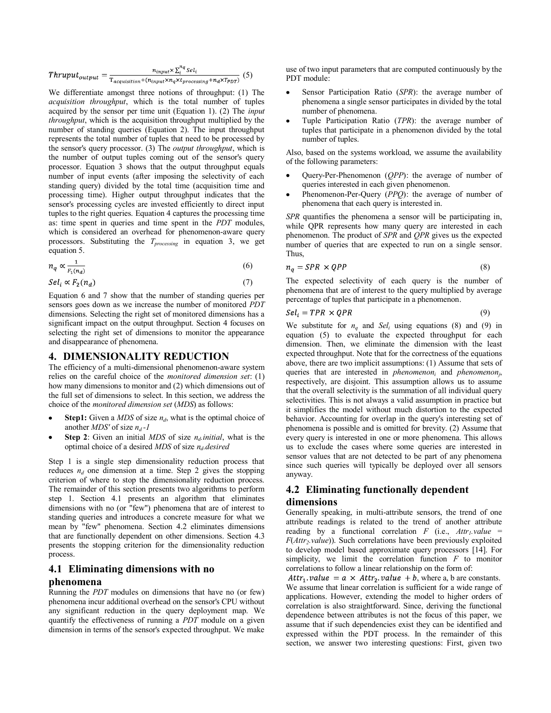$$
Thrupt_{output} = \frac{n_{input} \times \sum_{i}^{n_q} sel_i}{T_{acquisition} + (n_{input} \times n_q \times t_{processing} + n_d \times T_{PDF})}
$$
(5)

We differentiate amongst three notions of throughput: (1) The *acquisition throughput*, which is the total number of tuples acquired by the sensor per time unit (Equation 1). (2) The *input throughput*, which is the acquisition throughput multiplied by the number of standing queries (Equation 2). The input throughput represents the total number of tuples that need to be processed by the sensor's query processor. (3) The *output throughput*, which is the number of output tuples coming out of the sensor's query processor. Equation 3 shows that the output throughput equals number of input events (after imposing the selectivity of each standing query) divided by the total time (acquisition time and processing time). Higher output throughput indicates that the sensor's processing cycles are invested efficiently to direct input tuples to the right queries. Equation 4 captures the processing time as: time spent in queries and time spent in the *PDT* modules, which is considered an overhead for phenomenon-aware query processors. Substituting the *Tprocessing* in equation 3, we get equation 5.

$$
n_q \propto \frac{1}{F_1(n_d)}
$$
(6)  

$$
Sel_i \propto F_2(n_d)
$$
(7)

Equation 6 and 7 show that the number of standing queries per sensors goes down as we increase the number of monitored *PDT* dimensions. Selecting the right set of monitored dimensions has a significant impact on the output throughput. Section [4](#page-2-0) focuses on selecting the right set of dimensions to monitor the appearance and disappearance of phenomena.

#### <span id="page-2-0"></span>**4. DIMENSIONALITY REDUCTION**

The efficiency of a multi-dimensional phenomenon-aware system relies on the careful choice of the *monitored dimension set*: (1) how many dimensions to monitor and (2) which dimensions out of the full set of dimensions to select. In this section, we address the choice of the *monitored dimension set* (*MDS*) as follows:

- **Step1:** Given a *MDS* of size  $n_d$ , what is the optimal choice of another *MDS'* of size *n<sup>d</sup> -1*
- **Step 2**: Given an initial *MDS* of size *nd.initial*, what is the optimal choice of a desired *MDS* of size *nd.desired*

Step 1 is a single step dimensionality reduction process that reduces  $n_d$  one dimension at a time. Step 2 gives the stopping criterion of where to stop the dimensionality reduction process. The remainder of this section presents two algorithms to perform step 1. Section [4.1](#page-2-1) presents an algorithm that eliminates dimensions with no (or "few") phenomena that are of interest to standing queries and introduces a concrete measure for what we mean by "few" phenomena. Section [4.2](#page-2-2) eliminates dimensions that are functionally dependent on other dimensions. Section [4.3](#page-3-9) presents the stopping criterion for the dimensionality reduction process.

#### <span id="page-2-1"></span>**4.1 Eliminating dimensions with no**

#### **phenomena**

Running the *PDT* modules on dimensions that have no (or few) phenomena incur additional overhead on the sensor's CPU without any significant reduction in the query deployment map. We quantify the effectiveness of running a *PDT* module on a given dimension in terms of the sensor's expected throughput. We make use of two input parameters that are computed continuously by the PDT module:

- Sensor Participation Ratio (*SPR*): the average number of phenomena a single sensor participates in divided by the total number of phenomena.
- Tuple Participation Ratio (*TPR*): the average number of tuples that participate in a phenomenon divided by the total number of tuples.

Also, based on the systems workload, we assume the availability of the following parameters:

- Query-Per-Phenomenon (*QPP*): the average of number of queries interested in each given phenomenon.
- Phenomenon-Per-Query (*PPQ*): the average of number of phenomena that each query is interested in.

*SPR* quantifies the phenomena a sensor will be participating in, while QPR represents how many query are interested in each phenomenon. The product of *SPR* and *QPR* gives us the expected number of queries that are expected to run on a single sensor. Thus,

$$
\times QPP \tag{8}
$$

The expected selectivity of each query is the number of phenomena that are of interest to the query multiplied by average percentage of tuples that participate in a phenomenon.

$$
Seli = TPR \times QPR
$$
 (9)

 $n_q$  = SPR

We substitute for  $n_q$  and *Sel<sub>i</sub>* using equations (8) and (9) in equation (5) to evaluate the expected throughput for each dimension. Then, we eliminate the dimension with the least expected throughput. Note that for the correctness of the equations above, there are two implicit assumptions: (1) Assume that sets of queries that are interested in *phenomenon<sup>i</sup>* and *phenomenon<sup>j</sup>* , respectively, are disjoint. This assumption allows us to assume that the overall selectivity is the summation of all individual query selectivities. This is not always a valid assumption in practice but it simplifies the model without much distortion to the expected behavior. Accounting for overlap in the query's interesting set of phenomena is possible and is omitted for brevity. (2) Assume that every query is interested in one or more phenomena. This allows us to exclude the cases where some queries are interested in sensor values that are not detected to be part of any phenomena since such queries will typically be deployed over all sensors anyway.

### <span id="page-2-2"></span>**4.2 Eliminating functionally dependent dimensions**

Generally speaking, in multi-attribute sensors, the trend of one attribute readings is related to the trend of another attribute reading by a functional correlation *F* (i.e.,  $Attr<sub>1</sub>$ *value* = *F*(*Attr2.value*)). Such correlations have been previously exploited to develop model based approximate query processors [\[14\].](#page-3-10) For simplicity, we limit the correlation function *F* to monitor correlations to follow a linear relationship on the form of:

Attr<sub>1</sub> value =  $a \times$  Attr<sub>2</sub> value + b, where a, b are constants. We assume that linear correlation is sufficient for a wide range of applications. However, extending the model to higher orders of correlation is also straightforward. Since, deriving the functional dependence between attributes is not the focus of this paper, we assume that if such dependencies exist they can be identified and expressed within the PDT process. In the remainder of this section, we answer two interesting questions: First, given two